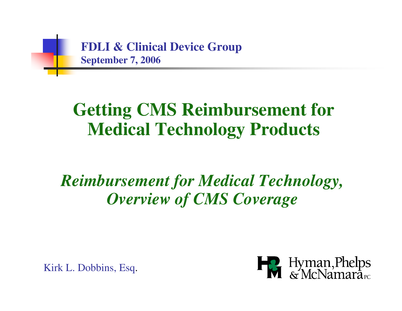

#### **Getting CMS Reimbursement for Medical Technology Products**

#### *Reimbursement for Medical Technology, Overview of CMS Coverage*

Kirk L. Dobbins, Esq.

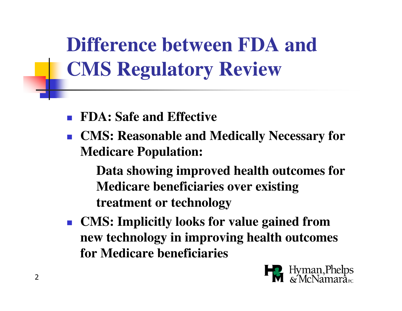**Difference between FDA and CMS Regulatory Review**

- **FDA: Safe and Effective**
- **CMS: Reasonable and Medically Necessary for Medicare Population:**

**Data showing improved health outcomes for Medicare beneficiaries over existing treatment or technology**

 $\mathcal{L}^{\text{max}}$  **CMS: Implicitly looks for value gained from new technology in improving health outcomes for Medicare beneficiaries**

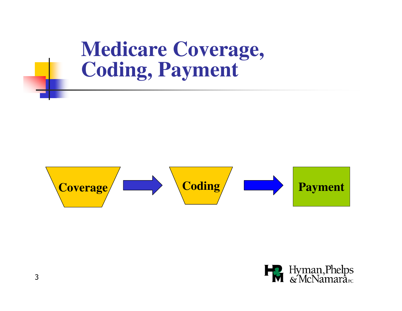**Medicare Coverage, Coding, Payment**



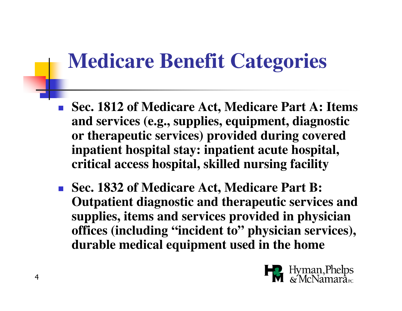#### **Medicare Benefit Categories**

- **Sec. 1812 of Medicare Act, Medicare Part A: Items and services (e.g., supplies, equipment, diagnostic or therapeutic services) provided during covered inpatient hospital stay: inpatient acute hospital, critical access hospital, skilled nursing facility**
- **Sec. 1832 of Medicare Act, Medicare Part B: Outpatient diagnostic and therapeutic services and supplies, items and services provided in physician offices (including "incident to" physician services), durable medical equipment used in the home**

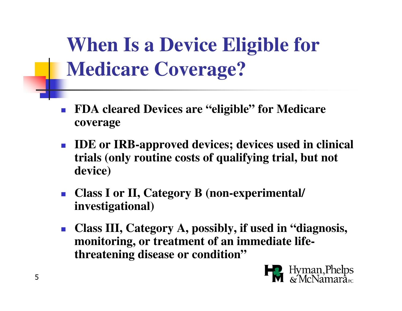**When Is a Device Eligible for Medicare Coverage?**

- П **FDA cleared Devices are "eligible" for Medicare coverage**
- **IDE or IRB-approved devices; devices used in clinical trials (only routine costs of qualifying trial, but not device)**
- $\mathcal{C}_{\mathcal{A}}$  **Class I or II, Category B (non-experimental/ investigational)**
- $\overline{\phantom{a}}$  **Class III, Category A, possibly, if used in "diagnosis, monitoring, or treatment of an immediate lifethreatening disease or condition"**

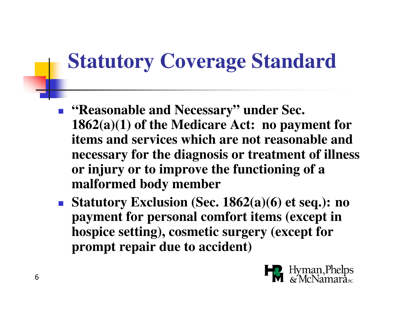### **Statutory Coverage Standard**

- F **"Reasonable and Necessary" under Sec. 1862(a)(1) of the Medicare Act: no payment for items and services which are not reasonable and necessary for the diagnosis or treatment of illnessor injury or to improve the functioning of a malformed body member**
- **Statutory Exclusion (Sec. 1862(a)(6) et seq.): no payment for personal comfort items (except in hospice setting), cosmetic surgery (except for prompt repair due to accident)**

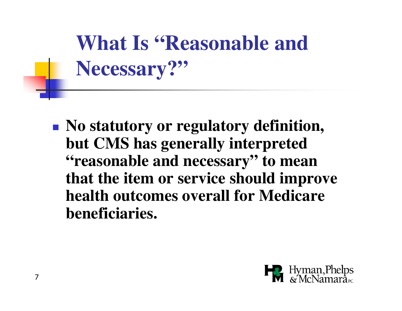**What Is "Reasonable and Necessary?"**

**Service Service No statutory or regulatory definition, but CMS has generally interpreted "reasonable and necessary" to mean that the item or service should improve health outcomes overall for Medicare beneficiaries.**

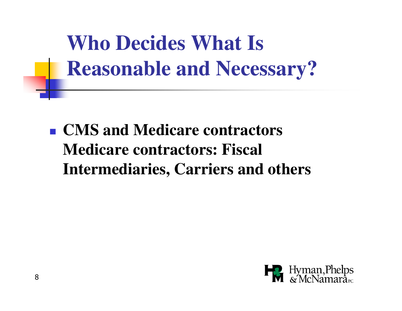**Who Decides What Is Reasonable and Necessary?**

**Service Service CMS and Medicare contractors Medicare contractors: Fiscal Intermediaries, Carriers and others**

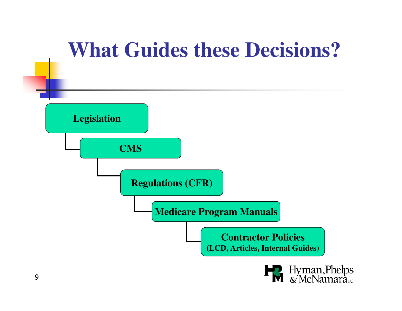#### **What Guides these Decisions?**



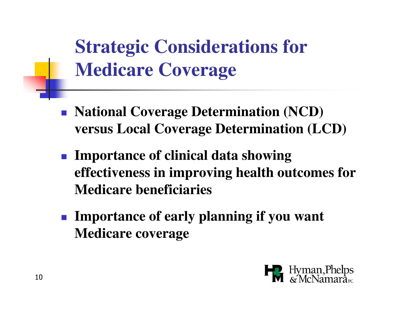**Strategic Considerations for Medicare Coverage**

- M **National Coverage Determination (NCD) versus Local Coverage Determination (LCD)**
- M **Importance of clinical data showing effectiveness in improving health outcomes for Medicare beneficiaries**
- M **Importance of early planning if you want Medicare coverage**

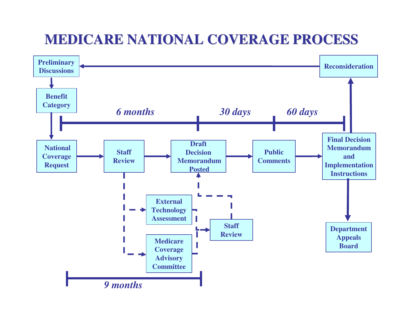#### **MEDICARE NATIONAL COVERAGE PROCESS**

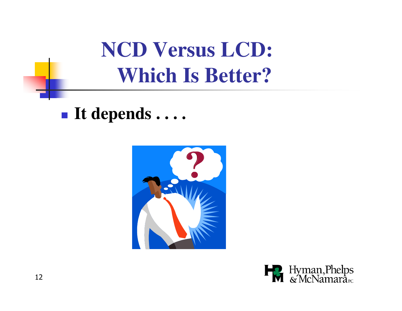**NCD Versus LCD:Which Is Better?**

 $\mathbb{R}^3$ **It depends . . . .**



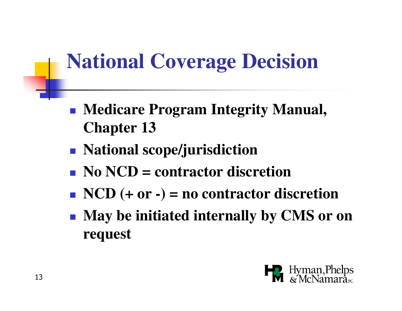### **National Coverage Decision**

- $\mathbb{R}^3$  **Medicare Program Integrity Manual, Chapter 13**
- $\mathbb{R}^3$ **National scope/jurisdiction**
- k. **No NCD = contractor discretion**
- $\mathbb{R}^3$ **NCD (+ or -) = no contractor discretion**
- $\mathbb{R}^3$  **May be initiated internally by CMS or on request**

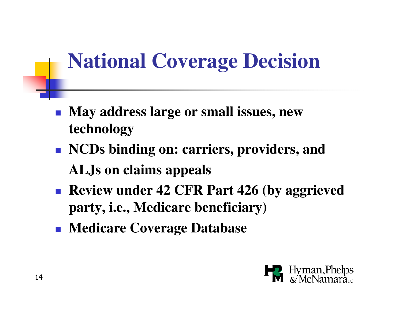## **National Coverage Decision**

- $\mathcal{L}_{\mathcal{A}}$  **May address large or small issues, new technology**
- $\mathcal{L}_{\mathcal{A}}$  **NCDs binding on: carriers, providers, andALJs on claims appeals**
- $\mathbb{R}^3$  **Review under 42 CFR Part 426 (by aggrieved party, i.e., Medicare beneficiary)**
- $\mathcal{L}_{\mathcal{A}}$ **Medicare Coverage Database**

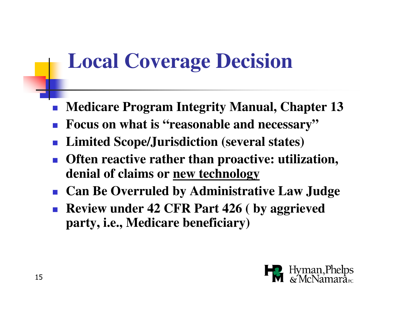#### **Local Coverage Decision**

- **Medicare Program Integrity Manual, Chapter 13**
- **Focus on what is "reasonable and necessary"**
- **Limited Scope/Jurisdiction (several states)**
- P. **Often reactive rather than proactive: utilization, denial of claims or new technology**
- **Can Be Overruled by Administrative Law Judge**
- $\mathcal{L}_{\mathcal{A}}$  **Review under 42 CFR Part 426 ( by aggrieved party, i.e., Medicare beneficiary)**

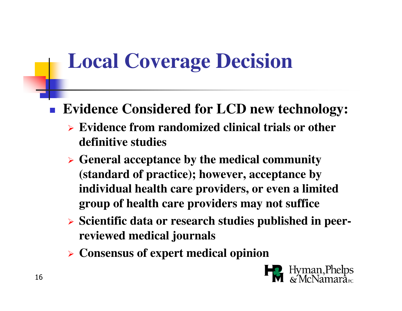### **Local Coverage Decision**

#### $\mathcal{L}_{\mathcal{A}}$ **Evidence Considered for LCD new technology:**

- **Evidence from randomized clinical trials or other definitive studies**
- **General acceptance by the medical community (standard of practice); however, acceptance by individual health care providers, or even a limited group of health care providers may not suffice**
- **Scientific data or research studies published in peerreviewed medical journals**
- **Consensus of expert medical opinion**

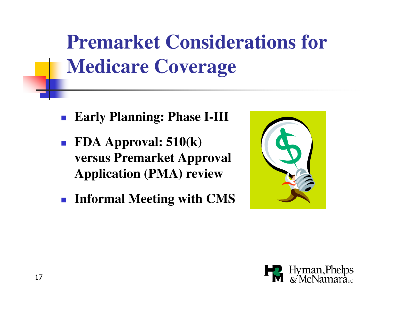## **Premarket Considerations for Medicare Coverage**

- **Early Planning: Phase I-III**
- **FDA Approval: 510(k) versus Premarket Approval Application (PMA) review**
- **Informal Meeting with CMS**



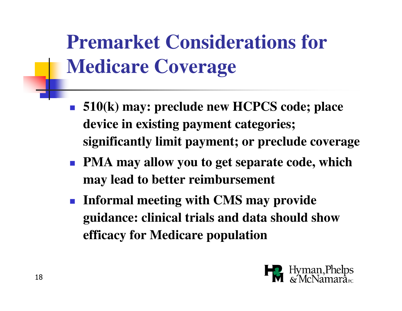## **Premarket Considerations for Medicare Coverage**

- **510(k) may: preclude new HCPCS code; place device in existing payment categories; significantly limit payment; or preclude coverage**
- **PMA may allow you to get separate code, which may lead to better reimbursement**
- **Informal meeting with CMS may provide guidance: clinical trials and data should show efficacy for Medicare population**

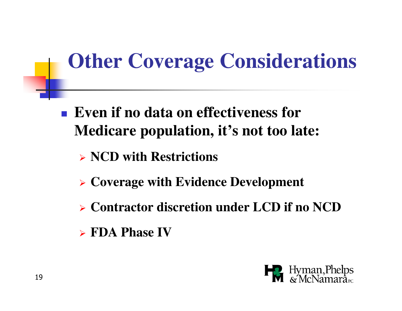## **Other Coverage Considerations**

- $\Box$  **Even if no data on effectiveness for Medicare population, it's not too late:**
	- **NCD with Restrictions**
	- **Coverage with Evidence Development**
	- **Contractor discretion under LCD if no NCD**
	- **FDA Phase IV**

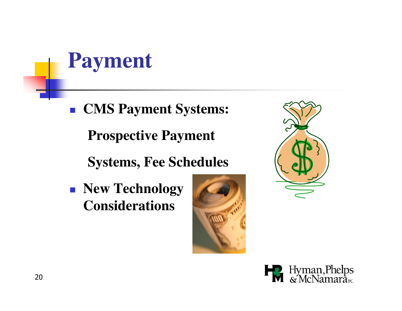**CMS Payment Systems: Prospective Payment**

**Systems, Fee Schedules**

 **New Technology Considerations**





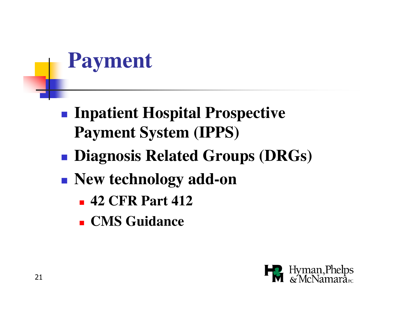- **Inpatient Hospital Prospective Payment System (IPPS)**
- **Service Service Diagnosis Related Groups (DRGs)**
- **New technology add-on**
	- П **42 CFR Part 412**
	- ×. **CMS Guidance**

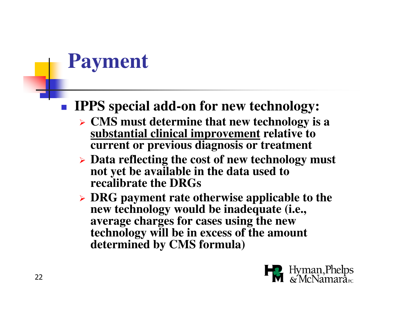#### M **IPPS special add-on for new technology:**

- **CMS must determine that new technology is a substantial clinical improvement relative to current or previous diagnosis or treatment**
- > Data reflecting the cost of new technology must **not yet be available in the data used to recalibrate the DRGs**
- **DRG payment rate otherwise applicable to the new technology would be inadequate (i.e., average charges for cases using the new technology will be in excess of the amount determined by CMS formula)**

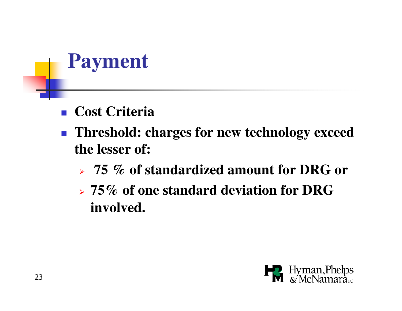- M **Exercise Criteria**
- P. **Threshold: charges for new technology exceed the lesser of:**
	- $\blacktriangleright$ **75 % of standardized amount for DRG or**
	- $\blacktriangleright$  **75% of one standard deviation for DRG involved.**

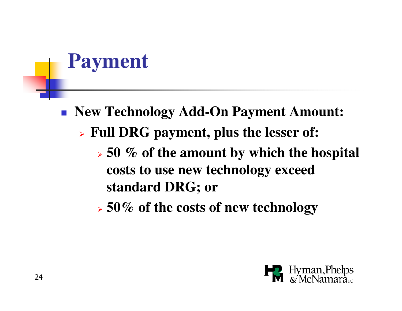- M **New Technology Add-On Payment Amount:** 
	- $\blacktriangleright$  **Full DRG payment, plus the lesser of:**
		- $\blacktriangleright$  **50 % of the amount by which the hospital costs to use new technology exceed standard DRG; or**
		- $\blacktriangleright$ **50% of the costs of new technology**

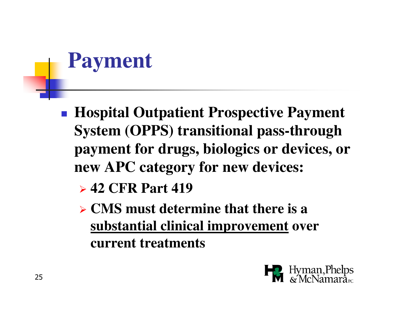- $\Box$  **Hospital Outpatient Prospective Payment System (OPPS) transitional pass-through payment for drugs, biologics or devices, or new APC category for new devices:** 
	- **42 CFR Part 419**
	- **CMS must determine that there is a substantial clinical improvement over current treatments**

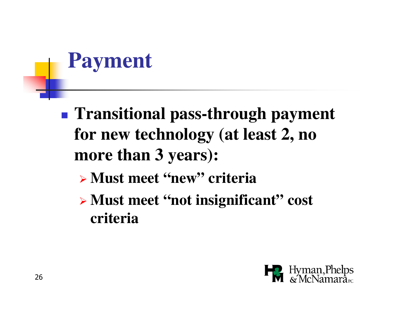- $\mathbb{R}^3$  **Transitional pass-through payment for new technology (at least 2, no more than 3 years):**
	- **Must meet "new" criteria**
	- **Must meet "not insignificant" cost criteria**

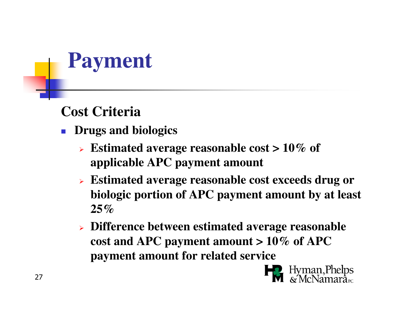#### **Cost Criteria**

- **Drugs and biologics**
	- **Estimated average reasonable cost > 10% of applicable APC payment amount**
	- **Estimated average reasonable cost exceeds drug or biologic portion of APC payment amount by at least 25%**
	- **Difference between estimated average reasonable cost and APC payment amount > 10% of APC payment amount for related service**

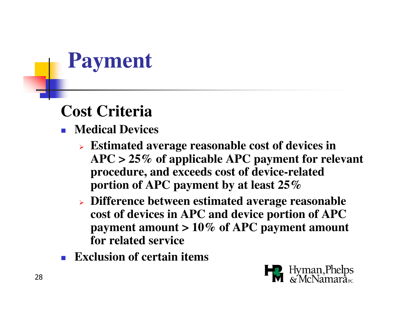#### **Cost Criteria**

- **Medical Devices**
	- **Estimated average reasonable cost of devices in APC > 25% of applicable APC payment for relevant procedure, and exceeds cost of device-related portion of APC payment by at least 25%**
	- **Difference between estimated average reasonable cost of devices in APC and device portion of APC payment amount > 10% of APC payment amount for related service**
- П **Exclusion of certain items**

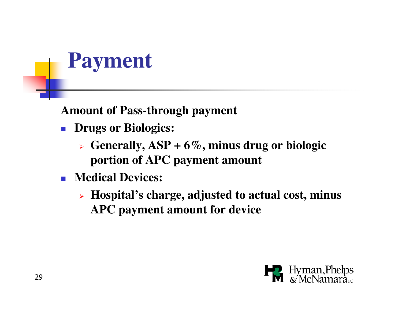**Amount of Pass-through payment**

- **Drugs or Biologics:**
	- **Generally, ASP + 6%, minus drug or biologic portion of APC payment amount**
- **Medical Devices:**
	- **Hospital's charge, adjusted to actual cost, minus APC payment amount for device**

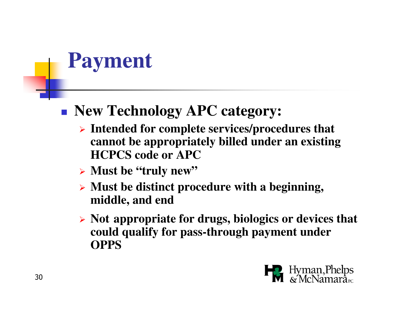#### $\Box$ **New Technology APC category:**

- **Intended for complete services/procedures that cannot be appropriately billed under an existing HCPCS code or APC**
- **Must be "truly new"**
- **Must be distinct procedure with a beginning, middle, and end**
- **Not appropriate for drugs, biologics or devices that could qualify for pass-through payment under OPPS**

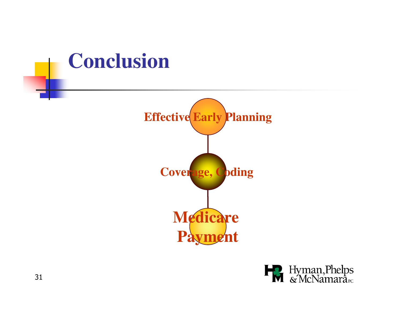#### **Conclusion**